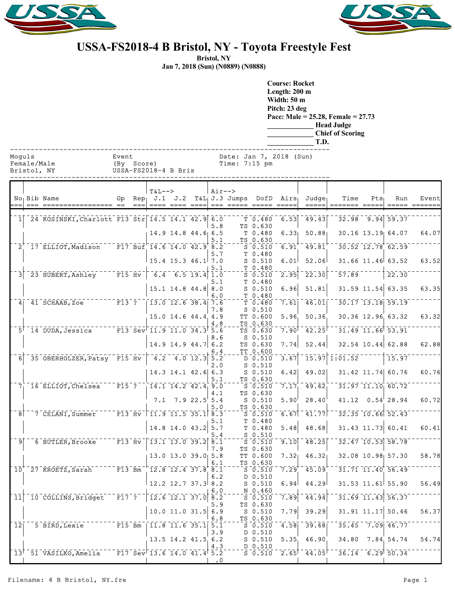



## **USSA-FS2018-4 B Bristol, NY - Toyota Freestyle Fest**

**Bristol, NY**

**Jan 7, 2018 (Sun) (N0889) (N0888)**

**Course: Rocket Length: 200 m Width: 50 m Pitch: 23 deg Pace: Male = 25.28, Female = 27.73 \_\_\_\_\_\_\_\_\_\_\_\_\_ Head Judge \_\_\_\_\_\_\_\_\_\_\_\_\_ Chief of Scoring \_\_\_\_\_\_\_\_\_\_\_\_\_ T.D.**

| Moa |  |  |
|-----|--|--|

| --- - - - - |                      |                 |
|-------------|----------------------|-----------------|
| Female/Male | (By Score)           | Time: $7:15$ pm |
| Bristol, NY | USSA-FS2018-4 B Bris |                 |

|                |                                                                                                                          |                                 | $T&L-->$                   |                            | $Air--$   |                                            |                                   |                   |                    |                   |                  |                                       |               |
|----------------|--------------------------------------------------------------------------------------------------------------------------|---------------------------------|----------------------------|----------------------------|-----------|--------------------------------------------|-----------------------------------|-------------------|--------------------|-------------------|------------------|---------------------------------------|---------------|
|                | No <sub>1</sub> Bib Name                                                                                                 |                                 |                            |                            |           | Gp $Rep$ J.1 J.2 $T&L$ J.3 Jumps DofD Airs |                                   |                   | $Judq$ e           | Time              | Pts <sub>1</sub> | Run                                   | Event         |
|                | === ================== ==                                                                                                |                                 |                            | ==== ==== ====             |           |                                            |                                   |                   | =====              | ======= =====     |                  |                                       | ===== ======= |
|                | $1$   24 KOSINSKI, Charlott F13 Str  14.5 14.1 42.9 6.0                                                                  |                                 |                            |                            |           |                                            | $T_{0.480}$                       | 6.53              | 49.43              |                   |                  | $32.98$ 9.94 59.37                    |               |
|                |                                                                                                                          |                                 |                            |                            | 5.8       |                                            | TS 0.630                          |                   |                    |                   |                  |                                       |               |
|                |                                                                                                                          |                                 |                            | $14.9$ 14.8 44.6 6.5       |           |                                            | T 0.480                           | 6.33              | 50.88              |                   |                  | $30.16$ $13.19$ $64.07$               | 64.07         |
|                |                                                                                                                          |                                 |                            |                            | 5.1       |                                            | TS 0.630                          |                   |                    |                   |                  |                                       |               |
|                | $^{-2}$ 17 ELLIOT, Madison F17 Buf 14.6 14.0 42.9 8.2                                                                    |                                 |                            |                            |           |                                            | $S$ 0.510                         | 6.91              | 49.81              |                   |                  | $30.52$ $12.78$ 62.59                 |               |
|                |                                                                                                                          |                                 |                            |                            | 5.7       |                                            | T 0.480                           |                   |                    |                   |                  |                                       |               |
|                |                                                                                                                          |                                 |                            | $15.4$ 15.3 46.1 7.0       |           |                                            | $S$ 0.510                         | 6.01              | 52.06              |                   |                  | 31.66 11.46 63.52                     | 63.52         |
|                |                                                                                                                          |                                 |                            |                            | 5.1       |                                            | T 0.480                           |                   |                    |                   |                  |                                       |               |
|                | $3$ <sup>-23</sup> HUBERT, Ashley F15 Hv                                                                                 |                                 | $-6.4$ 6.5 19.4 1.0        |                            |           |                                            | $S$ 0.510                         | 2.95              | 22.30              | 57.89             |                  | 22.30                                 |               |
|                |                                                                                                                          |                                 |                            |                            | 5.1       |                                            | T 0.480                           |                   |                    |                   |                  |                                       |               |
|                |                                                                                                                          |                                 |                            | $15.1$ 14.8 44.8 8.0       |           |                                            | $S$ 0.510                         | 6.96              | 51.81              |                   |                  | $31.59$ $11.54$ 63.35                 | 63.35         |
|                |                                                                                                                          |                                 |                            |                            | 6.0       |                                            | T 0.480                           |                   |                    |                   |                  |                                       |               |
|                | $\overline{4}$ <sup>-</sup> $\overline{4}$ <sup>-</sup> $\overline{5}$ CHAAB, Zoe <sup>--------</sup> F13 <sup>-</sup> ? |                                 | $-13.0$ 12.6 38.4 7.6      |                            |           |                                            | T 0.480                           | 7.61              | 46.01              |                   |                  | 30.17 13.18 59.19                     |               |
|                |                                                                                                                          |                                 |                            |                            | 7.8       |                                            | $S_0.510$                         |                   |                    |                   |                  |                                       |               |
|                |                                                                                                                          |                                 |                            | 15.0 14.6 44.4 4.9         |           |                                            | TT 0.600                          | 5.96              | 50.36              |                   |                  | 30.36 12.96 63.32                     | 63.32         |
|                | $-5$ <sup>+</sup> 14 DUDA, Jessica F13 Sev <sup>-</sup> 11.9 11.0 34.3 5.6                                               |                                 |                            |                            | 4.8       |                                            | TS 0.630                          |                   | 42.25              |                   |                  | $31.49$ $11.66$ $53.91$               |               |
|                |                                                                                                                          |                                 |                            |                            | 8.6       |                                            | TS 0.630<br>$S_0.510$             | 7.90 <sup>1</sup> |                    |                   |                  |                                       |               |
|                |                                                                                                                          |                                 |                            | $14.9$ 14.9 44.7 6.2       |           |                                            | TS 0.630                          | 7.74              | 52.44              |                   |                  | $32.54$ 10.44 62.88                   | 62.88         |
|                |                                                                                                                          |                                 |                            |                            | 6.4       |                                            | TT 0.600                          |                   |                    |                   |                  |                                       |               |
| $\overline{6}$ | $-35$ OBERHOLZER, Patsy F15 Hv $-4.2$ 4.0 12.3 5.2                                                                       |                                 |                            |                            |           |                                            | $\overline{D}$ $\overline{0.510}$ | 3.67              |                    | $15.97$ $1:01.52$ |                  | 15.97                                 |               |
|                |                                                                                                                          |                                 |                            |                            | 2.0       |                                            | $S$ 0.510                         |                   |                    |                   |                  |                                       |               |
|                |                                                                                                                          |                                 |                            | $14.3$ 14.1 42.6 6.3       |           |                                            | $S$ 0.510                         | 6.42              | 49.02              |                   |                  | 31.42 11.74 60.76                     | 60.76         |
|                |                                                                                                                          |                                 |                            |                            | 5.1       |                                            | TS 0.630                          |                   |                    |                   |                  |                                       |               |
| 7 <sub>1</sub> | <sup>16</sup> ELLIOT, Chelsea <sup>---</sup> F15 <sup>-</sup> ?                                                          |                                 | $14.1$ $14.2$ $42.4$ $9.0$ |                            |           |                                            | $S$ 0.510                         | 7.17              | 49.62              |                   |                  | $31.97$ $11.10$ $60.72$               |               |
|                |                                                                                                                          |                                 |                            |                            | 4.1       |                                            | TS 0.630                          |                   |                    |                   |                  |                                       |               |
|                |                                                                                                                          |                                 |                            | $7.1$ $7.9$ $22.5$ 5.4     |           |                                            | $S$ 0.510                         | $5.90^{\circ}$    | 28.40              |                   |                  | $41.12 \quad 0.54$ <sup>1</sup> 28.94 | 60.72         |
|                |                                                                                                                          |                                 |                            |                            | 5.0       |                                            | TS 0.630                          |                   |                    |                   |                  |                                       |               |
|                | $18$ <sup>--</sup> 7 CELANI, Summer<br>F13 Hv   11.9 11.5 35.1 8.3                                                       |                                 |                            |                            |           |                                            | $S$ 0.510                         | 6.67              | 41.77              |                   |                  | $32.35$ 10.66 52.43                   |               |
|                |                                                                                                                          |                                 |                            |                            | 5.1       |                                            | T 0.480                           |                   |                    |                   |                  |                                       |               |
|                |                                                                                                                          |                                 |                            | 14.8 14.0 43.2 5.7         |           |                                            | T 0.480                           | 5.48              | 48.68              |                   |                  | $31.43$ 11.73 60.41                   | 60.41         |
| ⊺9             | $-6$ BUTLER, Brooke $-7$ F13 Hv $-13.1$ 13.0 39.2 8.1                                                                    |                                 |                            |                            | 5.4       |                                            | $S_0.510$                         | 9.10              | 48.25              |                   |                  | 32.47 10.53 58.78                     |               |
|                |                                                                                                                          |                                 |                            |                            | 7.9       |                                            | $S = 0.510$<br>TS 0.630           |                   |                    |                   |                  |                                       |               |
|                |                                                                                                                          |                                 |                            | $13.0$ 13.0 39.0 5.8       |           |                                            | TT 0.600                          | 7.32 <sub>1</sub> | 46.32 <sub>1</sub> |                   |                  | 32.08 10.98 57.30                     | 58.78         |
|                |                                                                                                                          |                                 |                            |                            | 6.1       |                                            | TS 0.630                          |                   |                    |                   |                  |                                       |               |
| 10'            | $727$ KROETZ, Sarah $713$ Fi3 Bm $12.8$ 12.4 37.8 8.1                                                                    |                                 |                            |                            |           |                                            | $S$ 0.510                         | 7.29              | 45.09              |                   |                  | $31.71$ $11.40$ $56.49$               |               |
|                |                                                                                                                          |                                 |                            |                            | 6.2       |                                            | D 0.510                           |                   |                    |                   |                  |                                       |               |
|                |                                                                                                                          |                                 |                            | $12.2$ 12.7 37.3 8.2       |           |                                            | $S$ 0.510                         | 6.94              | 44.29              |                   |                  | $31.53$ $11.61$ $55.90$               | 56.49         |
|                |                                                                                                                          |                                 |                            |                            | 6.0       |                                            | N 0.460                           |                   |                    |                   |                  |                                       |               |
| [ 11]          | <sup>-</sup> 10 COLLINS, Bridget                                                                                         | $\overline{F17}$ $\overline{?}$ | $-12.6 - 12.1 - 37.0$ 8.2  |                            |           |                                            | $S$ 0.510                         | 7.89              | 44.94              |                   |                  | $31.69$ $11.43$ $56.37$               |               |
|                |                                                                                                                          |                                 |                            |                            | 5.9       |                                            | TS 0.630                          |                   |                    |                   |                  |                                       |               |
|                |                                                                                                                          |                                 |                            | $10.0$ 11.0 31.5 6.9       |           |                                            | $S_0.510$                         | 7.79              | 39.29              |                   |                  | $31.91$ $11.17$ $50.46$               | 56.37         |
|                |                                                                                                                          |                                 |                            |                            | 6.8       |                                            | TS 0.630                          |                   |                    |                   |                  |                                       |               |
|                | $12$ <sup>--</sup> 5 BIRD, Lexie F15 Bm   11.8 11.6 35.1 5.1                                                             |                                 |                            |                            |           |                                            | $S_0.510$                         | 4.58              | 39.68              |                   |                  | $35.45 - 7.09$ $46.77$                |               |
|                |                                                                                                                          |                                 |                            |                            | 3.9       |                                            | D 0.510                           |                   |                    |                   |                  |                                       |               |
|                |                                                                                                                          |                                 |                            | $13.5$ $14.2$ $41.5$ $6.2$ |           |                                            | $S_0.510$                         | 5.35              | 46.90              | 34.80             |                  | 7.84 54.74                            | 54.74         |
|                | $\mid$ 13 $^+$ 51 VASILKO, Amelia $\mid$ F17 Sev $\mid$ 13.6 14.0 41.4 5.2                                               |                                 |                            |                            | 4.3       |                                            | D 0.510<br>$S = 0.510$            | 2.65              | $-44.05$           |                   |                  | $36.14 - 6.29$ 50.34                  |               |
|                |                                                                                                                          |                                 |                            |                            | $\cdot$ 0 |                                            |                                   |                   |                    |                   |                  |                                       |               |
|                |                                                                                                                          |                                 |                            |                            |           |                                            |                                   |                   |                    |                   |                  |                                       |               |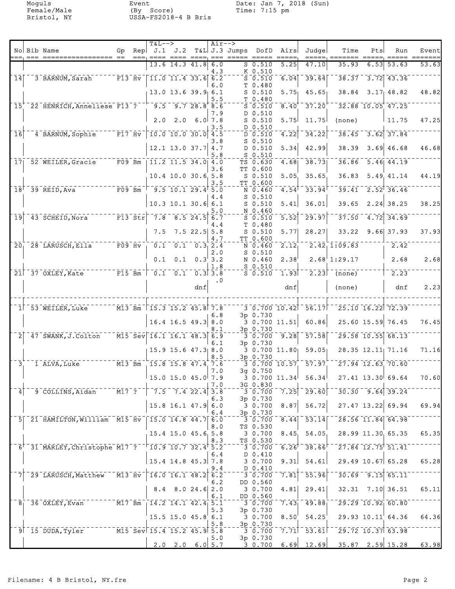Moguls Event Date: Jan 7, 2018 (Sun) Female/Male (By Score) Time: 7:15 pm Bristol, NY USSA-FS2018-4 B Bris

|                                                     |                                                                                                                                                                                                                                                                                                                     |                                  |                                                                                                                         | $T&L-->$                                                 |                                                                        |                                                    | $Air--$   |                                   |                                                                                                  |                   |                                                                                                                                     |                                                 |      |                                                         |                  |
|-----------------------------------------------------|---------------------------------------------------------------------------------------------------------------------------------------------------------------------------------------------------------------------------------------------------------------------------------------------------------------------|----------------------------------|-------------------------------------------------------------------------------------------------------------------------|----------------------------------------------------------|------------------------------------------------------------------------|----------------------------------------------------|-----------|-----------------------------------|--------------------------------------------------------------------------------------------------|-------------------|-------------------------------------------------------------------------------------------------------------------------------------|-------------------------------------------------|------|---------------------------------------------------------|------------------|
|                                                     | No Bib Name<br>=== =======                                                                                                                                                                                                                                                                                          | Gp<br>$==$                       | $==$                                                                                                                    | Rep $J.1$ $J.2$                                          |                                                                        |                                                    | $== =$    | T&L J.3 Jumps DofD<br>===== ===== |                                                                                                  | Airs<br>=====     | Judgel                                                                                                                              | Time                                            | Pts  | Run                                                     | Event<br>======= |
|                                                     |                                                                                                                                                                                                                                                                                                                     |                                  |                                                                                                                         |                                                          | 13.6 14.3 41.8 6.0                                                     |                                                    |           |                                   | $S$ 0.510                                                                                        | 5.25              | 47.10                                                                                                                               | 35.93                                           | 6.53 | 53.63                                                   | 53.63            |
| $\overline{1}$ <sup><math>\overline{4}</math></sup> |                                                                                                                                                                                                                                                                                                                     | $\overline{F13}$ $\overline{Hv}$ |                                                                                                                         |                                                          | $\overline{11.0}$ $\overline{11.4}$ $\overline{33.6}$ $\overline{6.2}$ |                                                    | 4.3       |                                   | K 0.510<br>$\bar{\text{s}}$ $\bar{\text{o}}$ .510                                                | 6.04              | 39.64                                                                                                                               |                                                 |      | $38.37 - 3.72$ 43.36                                    |                  |
|                                                     | 3 BARNUM, Sarah                                                                                                                                                                                                                                                                                                     |                                  |                                                                                                                         |                                                          |                                                                        |                                                    | 6.0       |                                   | T 0.480                                                                                          |                   |                                                                                                                                     |                                                 |      |                                                         |                  |
|                                                     |                                                                                                                                                                                                                                                                                                                     |                                  |                                                                                                                         |                                                          | $13.0$ 13.6 39.9 6.1                                                   |                                                    |           |                                   | $S$ 0.510                                                                                        | 5.75              | 45.65                                                                                                                               | 38.84                                           |      | $3.17$ 48.82                                            | 48.82            |
|                                                     | 15 22 HENRICH, Anneliese F13 ? - 9.5 9.7 28.8 8.6                                                                                                                                                                                                                                                                   |                                  |                                                                                                                         |                                                          |                                                                        |                                                    | 5.5       |                                   | T 0.480<br>$S$ 0.510                                                                             | 8.40              | 37.20                                                                                                                               |                                                 |      | $32.88$ $10.05$ $47.25$                                 |                  |
|                                                     |                                                                                                                                                                                                                                                                                                                     |                                  |                                                                                                                         |                                                          |                                                                        |                                                    | 7.9       |                                   | D 0.510                                                                                          |                   |                                                                                                                                     |                                                 |      |                                                         |                  |
|                                                     |                                                                                                                                                                                                                                                                                                                     |                                  |                                                                                                                         | 2.0                                                      |                                                                        | $2.0$ 6.0 7.8                                      |           |                                   | $S$ 0.510                                                                                        | 5.75              | 11.75                                                                                                                               | (none)                                          |      | $\vert$ 11.75                                           | 47.25            |
| 16                                                  | 4 BARNUM, Sophie F17 Hv                                                                                                                                                                                                                                                                                             |                                  |                                                                                                                         |                                                          | $10.0$ 10.0 30.0 4.5                                                   |                                                    | 3.5       |                                   | D 0.510<br>D 0.510                                                                               | 4.22              | 34.22                                                                                                                               |                                                 |      | $38.45 - 3.62$ 37.84                                    |                  |
|                                                     |                                                                                                                                                                                                                                                                                                                     |                                  |                                                                                                                         |                                                          |                                                                        |                                                    | 3.8       |                                   | $S$ 0.510                                                                                        |                   |                                                                                                                                     |                                                 |      |                                                         |                  |
|                                                     |                                                                                                                                                                                                                                                                                                                     |                                  |                                                                                                                         |                                                          | $12.1$ 13.0 37.7 4.7                                                   |                                                    | 5.8       |                                   | D 0.510<br>$S$ 0.510                                                                             | 5.34              | 42.99                                                                                                                               | 38.39                                           |      | $3.69$ 46.68                                            | 46.68            |
|                                                     | 17 52 WEILER, Gracie F09 Bm                                                                                                                                                                                                                                                                                         |                                  |                                                                                                                         | $\begin{bmatrix} 11.2 & 11.5 & 34.0 & 4.0 \end{bmatrix}$ |                                                                        |                                                    |           |                                   | TS 0.630                                                                                         | 4.68              | 38.73                                                                                                                               |                                                 |      | $36.86$ $5.46$ $44.19$                                  |                  |
|                                                     |                                                                                                                                                                                                                                                                                                                     |                                  |                                                                                                                         |                                                          |                                                                        |                                                    | 3.6       |                                   | TT 0.600                                                                                         |                   |                                                                                                                                     |                                                 |      |                                                         |                  |
|                                                     |                                                                                                                                                                                                                                                                                                                     |                                  |                                                                                                                         |                                                          | 10.4 10.0 30.6 5.8                                                     |                                                    | 3.5       |                                   | $S$ 0.510<br>TT 0.600                                                                            | 5.05              | 35.65                                                                                                                               | 36.83                                           |      | 5.49, 41.14                                             | 44.19            |
|                                                     | $\overline{F09}$ Bm<br>$18$ <sup><math>-39</math></sup> REID, Ava                                                                                                                                                                                                                                                   |                                  |                                                                                                                         | $\sqrt{9.5}$ 10.1 29.4 5.0                               |                                                                        |                                                    |           |                                   | N 0.460                                                                                          | 4.54              | 33.94                                                                                                                               |                                                 |      | $39.41 - 2.52$ 36.46                                    |                  |
|                                                     |                                                                                                                                                                                                                                                                                                                     |                                  |                                                                                                                         |                                                          | $10.3$ 10.1 30.6 6.1                                                   |                                                    | 4.4       |                                   | $S$ 0.510<br>$S$ 0.510                                                                           | 5.41              | 36.01                                                                                                                               | 39.65                                           |      | $2.24$ 38.25                                            | 38.25            |
|                                                     |                                                                                                                                                                                                                                                                                                                     |                                  |                                                                                                                         |                                                          |                                                                        |                                                    | 5.0       |                                   | N 0.460                                                                                          |                   |                                                                                                                                     |                                                 |      |                                                         |                  |
| ⊺9⊺                                                 | $-43$ SCHEID, Nora                                                                                                                                                                                                                                                                                                  |                                  | $\overline{r}$ $\overline{r}$ $\overline{1}$ $\overline{3}$ $\overline{5}$ $\overline{t}$ $\overline{r}$ $\overline{r}$ | $\bar{7.8}$                                              |                                                                        | $8.5$ 24.5 6.7                                     |           |                                   | $S = 0.510$                                                                                      | 5.52              | 29.97                                                                                                                               | 37.50                                           |      | $-4.72$ 34.69                                           |                  |
|                                                     |                                                                                                                                                                                                                                                                                                                     |                                  |                                                                                                                         | 7.5                                                      |                                                                        | $7.5$ 22.5 $5.8$                                   | 4.4       |                                   | T 0.480<br>$S$ 0.510                                                                             | 5.77              | 28.27                                                                                                                               |                                                 |      | 33.22 9.66 37.93                                        | 37.93            |
|                                                     |                                                                                                                                                                                                                                                                                                                     |                                  |                                                                                                                         |                                                          |                                                                        |                                                    | 4.7       |                                   | TT 0.600                                                                                         |                   |                                                                                                                                     |                                                 |      |                                                         |                  |
| 20 <sub>1</sub>                                     | 28 LARUSCH, Ella                                                                                                                                                                                                                                                                                                    | $ \bar{F}$ 09 $\bar{H}\bar{v}$   |                                                                                                                         | $\overline{0.1}^{-}$                                     |                                                                        | $\overline{0.1}$ $\overline{0.3}$ $\overline{2.4}$ | 2.0       |                                   | N 0.460<br>$S_0.510$                                                                             | 2.12              |                                                                                                                                     | $2.42 \overline{1} : 09.83$                     |      | 2.42                                                    |                  |
|                                                     |                                                                                                                                                                                                                                                                                                                     |                                  |                                                                                                                         | 0.1                                                      |                                                                        | $0.1 \quad 0.3$ 3.2                                |           |                                   | N 0.460                                                                                          | 2.38              |                                                                                                                                     | $2.68$ <sup>1</sup> :29.17                      |      | 2.68                                                    | 2.68             |
|                                                     |                                                                                                                                                                                                                                                                                                                     |                                  |                                                                                                                         |                                                          |                                                                        |                                                    | 1.8       |                                   | $S$ 0.510                                                                                        |                   |                                                                                                                                     |                                                 |      |                                                         |                  |
|                                                     | $21$ <sup><math>-37</math></sup> $0XLEY$ , Kate                                                                                                                                                                                                                                                                     |                                  | $\overline{F15}$ Bm                                                                                                     |                                                          | $\begin{bmatrix} 0.1 & 0.1 & 0.3 \end{bmatrix}$ 3.8                    |                                                    | $\cdot$ 0 |                                   | $S_0.510$                                                                                        | 1.93              |                                                                                                                                     | $2.23$ (none)                                   |      | $^{-2.23}$                                              |                  |
|                                                     |                                                                                                                                                                                                                                                                                                                     |                                  |                                                                                                                         |                                                          |                                                                        | dnf                                                |           |                                   |                                                                                                  | dnf               |                                                                                                                                     | (none)                                          |      | dnf                                                     | 2.23             |
|                                                     |                                                                                                                                                                                                                                                                                                                     |                                  |                                                                                                                         |                                                          |                                                                        |                                                    |           |                                   |                                                                                                  |                   |                                                                                                                                     |                                                 |      |                                                         |                  |
|                                                     | 1 53 WEILER, Luke                                                                                                                                                                                                                                                                                                   |                                  |                                                                                                                         | M13 Bm 15.3 15.2 45.8 7.8                                |                                                                        |                                                    |           |                                   |                                                                                                  | 3 0.700 10.42     | $-56.17$                                                                                                                            |                                                 |      | 25.10 16.22 72.39                                       |                  |
|                                                     |                                                                                                                                                                                                                                                                                                                     |                                  |                                                                                                                         |                                                          |                                                                        |                                                    | 6.8       |                                   | 3p 0.730                                                                                         |                   |                                                                                                                                     |                                                 |      |                                                         |                  |
|                                                     |                                                                                                                                                                                                                                                                                                                     |                                  |                                                                                                                         |                                                          | $16.4$ 16.5 49.3 8.0                                                   |                                                    | 8.1       |                                   | 3p 0.730                                                                                         | 3 0.700 11.51     | 60.86                                                                                                                               |                                                 |      | 25.60 15.59 76.45                                       | 76.45            |
| 2 <sup>1</sup>                                      | 47 SWANK, J.Colton                                                                                                                                                                                                                                                                                                  |                                  |                                                                                                                         | $\sqrt{M15}$ Sev 16.1 16.1 48.3 6.9                      |                                                                        |                                                    |           |                                   | 3 0.700                                                                                          | 9.28              | 57.58                                                                                                                               |                                                 |      | $\overline{29.58}$ 10.55 68.13                          |                  |
|                                                     |                                                                                                                                                                                                                                                                                                                     |                                  |                                                                                                                         |                                                          | $15.9$ 15.6 $47.3$ 8.0                                                 |                                                    | 6.1       |                                   | 3p 0.730                                                                                         | $30.700$ 11.80    | 59.05                                                                                                                               |                                                 |      | 28.35 12.11 71.16                                       | 71.16            |
|                                                     |                                                                                                                                                                                                                                                                                                                     |                                  |                                                                                                                         |                                                          |                                                                        |                                                    | 8.5       |                                   | 3p 0.730                                                                                         |                   |                                                                                                                                     |                                                 |      |                                                         |                  |
| 3 <sup>7</sup>                                      | $---\overline{M13}-\overline{Bm}$<br>1 ALVA, Luke                                                                                                                                                                                                                                                                   |                                  |                                                                                                                         | $15.8$ 15.8 47.4 7.6                                     |                                                                        |                                                    |           |                                   |                                                                                                  |                   | $\overline{3}\,\overline{0}\,\overline{.}\,700\,\overline{10}\,\overline{.}\,57\, \overline{.}\,57\,\overline{.}\,97\,\overline{.}$ |                                                 |      | $\overline{27.94}$ 12.63 70.60                          |                  |
|                                                     |                                                                                                                                                                                                                                                                                                                     |                                  |                                                                                                                         |                                                          | $15.0$ 15.0 $45.0$ 7.9                                                 |                                                    | 7.0       |                                   | $3q$ 0.750                                                                                       | 30.70011.34       | 56.34                                                                                                                               |                                                 |      | $27.41$ 13.30 69.64                                     | 70.60            |
|                                                     |                                                                                                                                                                                                                                                                                                                     |                                  |                                                                                                                         |                                                          |                                                                        |                                                    | 7.0       |                                   | 3G 0.830                                                                                         |                   |                                                                                                                                     |                                                 |      |                                                         |                  |
| $^{-}$ 4                                            | $\frac{1}{2}$ $\frac{1}{2}$ $\frac{1}{2}$ $\frac{1}{2}$ $\frac{1}{2}$ $\frac{1}{2}$ $\frac{1}{2}$ $\frac{1}{2}$ $\frac{1}{2}$ $\frac{1}{2}$ $\frac{1}{2}$ $\frac{1}{2}$ $\frac{1}{2}$ $\frac{1}{2}$ $\frac{1}{2}$ $\frac{1}{2}$ $\frac{1}{2}$ $\frac{1}{2}$ $\frac{1}{2}$ $\frac{1}{2}$ $\frac{1}{2}$ $\frac{1}{2}$ |                                  |                                                                                                                         |                                                          |                                                                        |                                                    | 6.3       |                                   | 3 0.700<br>3p 0.730                                                                              | 7.25              |                                                                                                                                     | $-29.60$ $-30.30$ $-9.64$ 39.24                 |      |                                                         |                  |
|                                                     |                                                                                                                                                                                                                                                                                                                     |                                  |                                                                                                                         |                                                          | $15.8$ 16.1 47.9 6.0                                                   |                                                    |           |                                   | 30.700                                                                                           | 8.87              | 56.72                                                                                                                               | $27.47$ 13.22 69.94 69.94                       |      |                                                         |                  |
|                                                     | 5 21 HAMILTON, William M15 Hv 15.0 14.8 44.7 6.0                                                                                                                                                                                                                                                                    |                                  |                                                                                                                         |                                                          |                                                                        |                                                    | 6.4       |                                   | 3p 0.730                                                                                         |                   | 53.14                                                                                                                               |                                                 |      | $\overline{28.56}$ 11.84 64.98                          |                  |
|                                                     |                                                                                                                                                                                                                                                                                                                     |                                  |                                                                                                                         |                                                          |                                                                        |                                                    | 8.0       |                                   | 3 0.700<br>TS 0.530                                                                              | 8.44              |                                                                                                                                     |                                                 |      |                                                         |                  |
|                                                     |                                                                                                                                                                                                                                                                                                                     |                                  |                                                                                                                         |                                                          | 15.4 15.0 45.6 5.8                                                     |                                                    |           |                                   | 3 0.700                                                                                          | 8.45              | 54.05                                                                                                                               | 28.99 11.30 65.35                               |      |                                                         | 65.35            |
|                                                     | 6 31 MARLEY, Christophe M17 ? 10.9 10.7 32.4 5.2                                                                                                                                                                                                                                                                    |                                  |                                                                                                                         |                                                          |                                                                        |                                                    | 8.3       |                                   | TS 0.530<br>$\overline{3}\,\overline{0}\,\overline{.}\,\overline{7}\,\overline{0}\,\overline{0}$ | $\overline{6.26}$ |                                                                                                                                     | $38.66$ <sup>r--</sup> 27.84 12.75 51.41        |      |                                                         |                  |
|                                                     |                                                                                                                                                                                                                                                                                                                     |                                  |                                                                                                                         |                                                          |                                                                        |                                                    | 6.4       |                                   | D 0.410                                                                                          |                   |                                                                                                                                     |                                                 |      |                                                         |                  |
|                                                     |                                                                                                                                                                                                                                                                                                                     |                                  |                                                                                                                         |                                                          | $15.4$ 14.8 45.3 7.8                                                   |                                                    |           |                                   | 3 0.700                                                                                          | 9.31              | 54.61                                                                                                                               | 29.49 10.67 65.28                               |      |                                                         | 65.28            |
|                                                     | 29 LARUSCH, Matthew M13 Hv 16.0 16.1 48.2 6.2                                                                                                                                                                                                                                                                       |                                  |                                                                                                                         |                                                          |                                                                        |                                                    | 9.4       |                                   | $D_0.410$<br>3 0.700                                                                             | 7.81              | $\overline{55.96}$ <sup>-</sup>                                                                                                     |                                                 |      | $\overline{30.69}$ $\overline{9.15}$ $\overline{65.11}$ |                  |
|                                                     |                                                                                                                                                                                                                                                                                                                     |                                  |                                                                                                                         |                                                          |                                                                        |                                                    | 6.2       |                                   | DD 0.560                                                                                         |                   |                                                                                                                                     |                                                 |      |                                                         |                  |
|                                                     |                                                                                                                                                                                                                                                                                                                     |                                  |                                                                                                                         |                                                          | $8.4$ $8.0$ $24.6$ 2.0                                                 |                                                    | 6.1       |                                   | 3 0.700<br>DD 0.560                                                                              | 4.81              | 29.41                                                                                                                               | $32.31$ $7.10$ $36.51$                          |      |                                                         | 65.11            |
|                                                     | 8 36 OXLEY, Evan M17 Bm 14.2 14.1 42.4 5.1                                                                                                                                                                                                                                                                          |                                  |                                                                                                                         |                                                          |                                                                        |                                                    |           |                                   | 3 0.700                                                                                          |                   | $7.43 - 49.88$                                                                                                                      | $-29.29$ 10.92 60.80                            |      |                                                         |                  |
|                                                     |                                                                                                                                                                                                                                                                                                                     |                                  |                                                                                                                         |                                                          |                                                                        |                                                    | 5.3       |                                   | 3p 0.730                                                                                         | 8.50              | 54.25                                                                                                                               |                                                 |      | $29.93$ $10.11$ 64.36                                   | 64.36            |
|                                                     |                                                                                                                                                                                                                                                                                                                     |                                  |                                                                                                                         |                                                          | $15.5$ 15.0 $45.8$ 6.1                                                 |                                                    | 5.8       |                                   | 3 0.700<br>3p 0.730                                                                              |                   |                                                                                                                                     |                                                 |      |                                                         |                  |
|                                                     | $9^{+15}$ - 15 - DUDA, Tyler $-$ - - - - - - - M15 - Sev 15.4 - 15.2 45.9 $\frac{1}{2}$ - $\frac{1}{2}$                                                                                                                                                                                                             |                                  |                                                                                                                         |                                                          |                                                                        |                                                    |           |                                   | 3 0.700                                                                                          | 7.71              | $-53.61$                                                                                                                            | $-29.72$ 10.37 63.98                            |      |                                                         |                  |
|                                                     |                                                                                                                                                                                                                                                                                                                     |                                  |                                                                                                                         |                                                          | $2.0$ $2.0$ $6.0$ $5.7$                                                |                                                    | 5.0       |                                   | 3p 0.730                                                                                         |                   |                                                                                                                                     | $\frac{1}{3}$ 0.700 6.69 12.69 35.87 2.59 15.28 |      |                                                         | 63.98            |
|                                                     |                                                                                                                                                                                                                                                                                                                     |                                  |                                                                                                                         |                                                          |                                                                        |                                                    |           |                                   |                                                                                                  |                   |                                                                                                                                     |                                                 |      |                                                         |                  |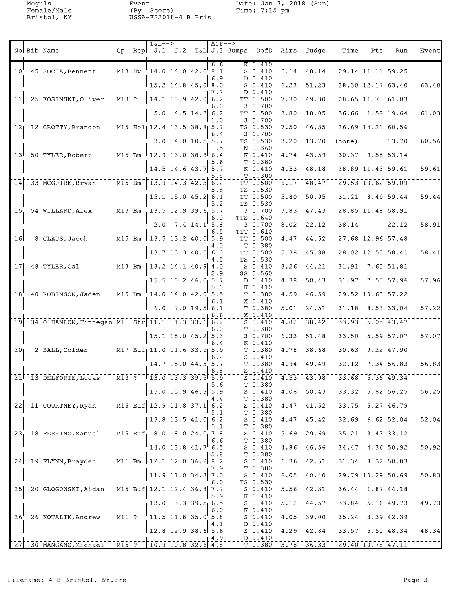Moguls Event Date: Jan 7, 2018 (Sun) Female/Male (By Score) Time: 7:15 pm Bristol, NY USSA-FS2018-4 B Bris

|                            |                                                                      |  | $T\&L--\gt$                                              |                                   | Air-->     |                                                                                |                                                                                                                                                  |                   |                                           |                                                                                               |     |                                                      |                                |
|----------------------------|----------------------------------------------------------------------|--|----------------------------------------------------------|-----------------------------------|------------|--------------------------------------------------------------------------------|--------------------------------------------------------------------------------------------------------------------------------------------------|-------------------|-------------------------------------------|-----------------------------------------------------------------------------------------------|-----|------------------------------------------------------|--------------------------------|
|                            | No Bib Name                                                          |  |                                                          |                                   |            | Gp Rep J.1 J.2 T&L J.3 Jumps DofD Airs<br>---, ---- ---- ----, --- ----- ----- |                                                                                                                                                  |                   | Judge                                     | Time<br>=====, ======= =====                                                                  | Pts | Run                                                  | Event<br>===== =======         |
|                            | $10^{-7}$ 45 SOCHA, Bennett $13$ Hv <sup>-1</sup> 14.0 14.0 42.0 8.1 |  |                                                          |                                   | 6.6        |                                                                                | K 0.410<br>$\overline{S}$ $\overline{0.410}$                                                                                                     | 6.14              | $-48.14$                                  |                                                                                               |     | $\sqrt{29.14}$ $\sqrt{11.11}$ $\sqrt{59.25}$         |                                |
|                            |                                                                      |  | $15.2$ 14.8 45.0 8.0                                     |                                   | 6.9        |                                                                                | D 0.410<br>$S_0.410$                                                                                                                             | 6.23              | 51.23                                     |                                                                                               |     | 28.30 12.17 63.40                                    | 63.40                          |
| 11                         | 25 KOSINSKI, Oliver M13 ?                                            |  | $\begin{bmatrix} 14.1 & 13.9 & 42.0 & 6.2 \end{bmatrix}$ |                                   | 7.2        |                                                                                | D 0.410<br>TT 0.500                                                                                                                              | 7.30              | 49.30                                     |                                                                                               |     | $28.65$ 11.73 61.03                                  |                                |
|                            |                                                                      |  |                                                          | 5.0 4.5 14.3 6.2                  | 6.0        |                                                                                | 3 0.700<br>TT 0.500                                                                                                                              | 3.80              | 18.05                                     |                                                                                               |     | $36.66$ 1.59 19.64                                   | 61.03                          |
|                            | 12 12 CROTTY, Brandon M15 Hol 12.4 13.5 38.8 5.7                     |  |                                                          |                                   | 1.0        |                                                                                | 3 0.700<br>TS 0.530                                                                                                                              | 7.50              | 46.35                                     |                                                                                               |     | $26.69$ 14.21 60.56                                  |                                |
|                            |                                                                      |  |                                                          | $3.0$ 4.0 10.5 5.7                | 6.4        |                                                                                | 3 0.700<br>TS 0.530                                                                                                                              | 3.20              | 13.70                                     | (none)                                                                                        |     | 13.70                                                | 60.56                          |
|                            | $13^{\dagger}$ 50 TYLER, Robert $13.0$ 38.8 $6.\overline{4}$         |  |                                                          |                                   |            |                                                                                | $N_{0.360}$<br>K 0.410                                                                                                                           | 4.74              | 43.59                                     |                                                                                               |     | $30.37 - 9.55$ $53.14$                               |                                |
|                            |                                                                      |  |                                                          | 14.5 14.6 43.7 5.7                | 5.6        |                                                                                | T 0.380<br>K 0.410                                                                                                                               | 4.53              | 48.18                                     |                                                                                               |     | $28.89$ 11.43 59.61                                  | 59.61                          |
| $\overline{14}$            | $-33$ MCGUIRE, Bryan $-715$ Bm $13.9$ 14.3 42.3 6.2                  |  |                                                          |                                   | 5.8        |                                                                                | T 0.380<br>$TT - 0.500$                                                                                                                          | 6.17              | 48.47                                     |                                                                                               |     | $\sqrt{29.53}$ $\sqrt{10.62}$ $\sqrt{59.09}$         |                                |
|                            |                                                                      |  |                                                          |                                   | 5.8        |                                                                                | TS 0.530                                                                                                                                         |                   |                                           |                                                                                               |     |                                                      |                                |
|                            |                                                                      |  |                                                          | 15.1 15.0 45.2 6.1                | 5.2        |                                                                                | TT 0.500<br>TS 0.530                                                                                                                             | 5.80              | 50.95                                     |                                                                                               |     | 31.21 8.49 59.44                                     | 59.44                          |
|                            | $15 - 54$ WILLARD, Alex $M13 - Bm - 13.5$ 12.9 39.6 5.7              |  |                                                          |                                   | 6.0        |                                                                                | 30.700<br>TTS 0.640                                                                                                                              | 7.83              | 47.43                                     |                                                                                               |     | 28.85 11.48 58.91                                    |                                |
|                            |                                                                      |  |                                                          | $2.0$ 7.4 $14.1$ <sup>'</sup> 5.8 | 6.5        |                                                                                | 3 0.700<br>TTT 0.610                                                                                                                             | 8.02              | 22.12                                     | 38.14                                                                                         |     | 22.12                                                | 58.91                          |
|                            | $16$ <sup>-8</sup> CLAUS, Jacob $13.5$ 13.5 13.2 40.0 5.9            |  |                                                          |                                   | 4.0        |                                                                                | TT 0.500<br>T 0.380                                                                                                                              | 4.47              | 44.52                                     |                                                                                               |     | $\overline{27.68}$ 12.96 57.48                       |                                |
|                            |                                                                      |  |                                                          | $13.7$ 13.3 40.5 6.0              | 4.5        |                                                                                | TT 0.500<br>TS 0.530                                                                                                                             | 5.38              | 45.88                                     |                                                                                               |     | 28.02 12.53 58.41                                    | 58.41                          |
|                            | 17 48 TYLER, Cal M13 Bm   13.2 14.1 40.9 4.0                         |  |                                                          |                                   | 2.9        |                                                                                | $S = 0.410$<br>SS 0.560                                                                                                                          | 3.26              | 44.21                                     |                                                                                               |     | $31.91 - 7.60$ $51.81$                               |                                |
|                            |                                                                      |  |                                                          | $15.5$ 15.2 46.0 5.7              | 5.0        |                                                                                | D 0.410<br>$K_0.410$                                                                                                                             | 4.38 <sub>1</sub> | 50.43                                     |                                                                                               |     | $31.97$ $7.53$ 57.96                                 | 57.96                          |
|                            | 18 40 ROBINSON, Jaden M15 Bm 14.0 14.0 42.0 5.5                      |  |                                                          |                                   | 6.1        |                                                                                | $T$ 0.380<br>X 0.410                                                                                                                             | 4.59              | 46.59                                     |                                                                                               |     | $29.52$ $10.63$ $57.22$                              |                                |
|                            |                                                                      |  |                                                          | $6.0$ $7.0$ $19.5$ $6.1$          |            |                                                                                | T 0.380<br>X 0.410                                                                                                                               | 5.01              | 24.51                                     |                                                                                               |     | $31.18$ $8.53$ 33.04                                 | 57.22                          |
| $\overline{19}$            | 34 0 HANLON, Finnegan M11 Str 11.1 11.3 33.6 6.2                     |  |                                                          |                                   | 6.6        |                                                                                | $S_0.410$                                                                                                                                        | 4.82              | 38.42                                     | 33.93                                                                                         |     | $\overline{5.05}$ 43.47                              |                                |
|                            |                                                                      |  |                                                          | $15.1$ 15.0 45.2 5.3              | 6.0<br>6.4 |                                                                                | T 0.380<br>30.700                                                                                                                                | 6.33              | 51.48                                     | 33.50                                                                                         |     | $5.59$ 57.07                                         | 57.07                          |
| $\overline{20}$            | $\frac{1}{2}$ BALL, Colden $\frac{1}{2}$ M17 Buf 11.0 11.6 33.9 5.9  |  |                                                          |                                   |            |                                                                                | K 0.410<br>$T$ 0.380                                                                                                                             | 4.78              | 38.68                                     |                                                                                               |     | $30.63 - 9.22$ $47.90$                               |                                |
|                            |                                                                      |  |                                                          | 14.7 15.0 44.5 5.7                | 6.2        |                                                                                | $S_0.410$<br>T 0.380                                                                                                                             | 4.94              | 49.49                                     |                                                                                               |     | $32.12$ $7.34$ 56.83                                 | 56.83                          |
|                            | $21^{\dagger}$ 13 DELFORTE, Lucas                                    |  | M13 ?   13.0 13.3 39.5 5.9                               |                                   | 6.8        |                                                                                | $S$ 0.410<br>$S_0.410$                                                                                                                           |                   | $4.53$ <sup>1</sup> $-43.98$ <sup>1</sup> |                                                                                               |     | 33.68 5.36 49.34                                     |                                |
|                            |                                                                      |  |                                                          | $15.0$ 15.9 46.3 5.9              | 5.6        |                                                                                | T 0.380<br>$S_0.410$                                                                                                                             | 4.08              | 50.43                                     |                                                                                               |     | $33.32$ $5.82$ $56.25$                               | 56.25                          |
| $\overline{2}\overline{2}$ | 11 COURTNEY, Ryan                                                    |  | $\overline{M15}$ Buf $\overline{12.9}$ 11.8 37.1 6.2     |                                   | 4.4        |                                                                                | $T_{0.380}$<br>$5 - 0.410$                                                                                                                       | 4.47              | 41.52                                     |                                                                                               |     | $-33.75 - 5.27$ 46.79                                |                                |
|                            |                                                                      |  |                                                          | 13.8 13.5 41.0 6.2                | 5.1        |                                                                                | T 0.380<br>$S_0.410$                                                                                                                             | 4.47              | 45.42                                     |                                                                                               |     | $32.69$ 6.62 52.04                                   | 52.04                          |
|                            | 23 18 FERRINO, Samuel M15 Buf 8.0 8.0 24.0 7.8                       |  |                                                          |                                   | 5.1        |                                                                                | T 0.380<br>$S_0.410$                                                                                                                             | $\overline{5.69}$ | $\sqrt{29.69}$                            |                                                                                               |     | $-35.21 - 3.43$ , $33.12$                            |                                |
|                            |                                                                      |  |                                                          | $14.0$ 13.8 $41.7$ 6.5            | 6.6        |                                                                                | T 0.380<br>$S_0.410$                                                                                                                             | 4.86              | 46.56                                     |                                                                                               |     | $34.47$ $4.36$ 50.92                                 | 50.92                          |
|                            | 24 19 FLYNN, Brayden M11 Bm 12.1 12.0 36.2 8.2                       |  |                                                          |                                   | 5.8        |                                                                                | T 0.380<br>S 0.410                                                                                                                               | 6.36              | $-42.51$                                  |                                                                                               |     | $\frac{1}{31.34}$ $\frac{1}{8.32}$ $\frac{1}{50.83}$ |                                |
|                            |                                                                      |  |                                                          | 11.9 11.0 34.3                    | 7.9<br>7.0 |                                                                                | T 0.380<br>S 0.410                                                                                                                               | 6.05              | 40.40                                     |                                                                                               |     | $29.79$ 10.29 50.69                                  | 50.83                          |
|                            | 25 <sup>2</sup> 0 GLOGOWSKI, Aidan                                   |  | $-$ M15 Buf 12.1 12.4 36.8 7.7                           |                                   | 6.0        |                                                                                | TS 0.530<br>$\bar{\mathsf{s}}$ $\bar{\mathsf{o}}$ $\bar{\mathsf{c}}$ $\bar{\mathsf{4}}$ $\bar{\mathsf{1}}$ $\bar{\mathsf{o}}$ $\bar{\mathsf{6}}$ |                   | $\overline{5.56}$ $\overline{42.31}$      |                                                                                               |     | $\overline{36.44}$ 1.87 $\overline{41.18}$           |                                |
|                            |                                                                      |  |                                                          | 13.0 13.3 39.5 6.5                | 5.9        |                                                                                | K 0.410<br>S 0.410                                                                                                                               |                   | $5.12$ , $44.57$                          |                                                                                               |     | $33.84$ $5.16$ 49.73                                 | 49.73                          |
|                            | $26^{+}$ 26 KOTALIK, Andrew M11 ? $11.5$ 11.8 35.0 5.8               |  |                                                          |                                   | 6.0        |                                                                                | $K_{0.410}$<br>$S = 0.410$                                                                                                                       | 4.05              | 39.00                                     |                                                                                               |     | $-35.24 - 3.39$ $-42.39$                             |                                |
|                            |                                                                      |  | $12.8$ 12.9 38.6 5.6                                     |                                   | 4.1        |                                                                                | D 0.410<br>S <sub>0.410</sub>                                                                                                                    |                   | $4.29$ $42.84$                            |                                                                                               |     |                                                      | $33.57$ $5.50$ $48.34$ $48.34$ |
|                            | 27 30 MANGANO, Michael M15 ? 10.9 10.8 32.6 4.8                      |  |                                                          |                                   | $+4.9$     |                                                                                | D 0.410                                                                                                                                          |                   |                                           | $\overline{3.78}$ $\overline{36.33}$ $\overline{29.40}$ $\overline{10.78}$ $\overline{47.11}$ |     |                                                      |                                |
|                            |                                                                      |  |                                                          |                                   |            |                                                                                | T <sub>0.380</sub>                                                                                                                               |                   |                                           |                                                                                               |     |                                                      |                                |